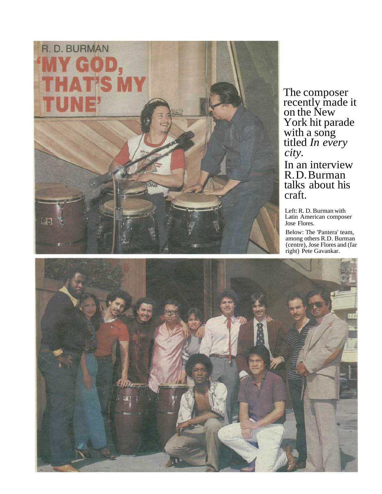

The composer recently made it on the New York hit parade with a song titled *In every city.*

In an interview R. D. Burman talks about his craft.

Left: R. D. Burman with Latin American composer Jose Flores.

Below: The 'Pantera' team, among others R.D. Burman (centre), Jose Flores and (far right) Pete Gavankar.

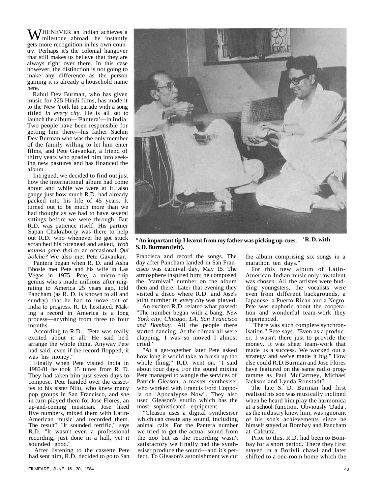WHENEVER an Indian achieves a<br>milestone abroad, he instantly gets more recognition in his own country. Perhaps it's the colonial hangover that still makes us believe that they are always right over there. In this case however, the distinction is not going to make any difference as the person gaining it is already a household name here.

Rahul Dev Burman, who has given music for 225 Hindi films, has made it to the New York hit parade with a song titled *In every city.* He is all set to launch the album—'Pantera'—in India. Two people have been responsible for getting him there—his father Sachin Dev Burman who was the only member of the family willing to let him enter films, and Pete Gavankar, a friend of thirty years who goaded him into seeking new pastures and has financed the album.

Intrigued, we decided to find out just how the international album had come about and while we were at it, also gauge just how much R.D. had already packed into his life of 45 years. It turned out to be much more than we had thought as we had to have several sittings before we were through. But R.D. was patience itself. His partner Sapan Chakraborty was there to help out R.D. who whenever he got stuck scratched his forehead and asked, *Woh kaunsa gana thai* or an occasional *Qui bolche?* We also met Pete Gavankar.

Pantera began when R. D. and Asha Bhosle met Pete and his wife in Las Vegas in 1975. Pete, a micro-chip genius who's made millions after migrating to America 25 years ago, told Pancham (as R. D. is known to all and sundry) that he had to move out of India to progress. R. D. hesitated. Making a record in America is a long process—anything from three to four months.

According to R.D., "Pete was really excited about it all. He said he'd arrange the whole thing. Anyway Pete had said, even if the record flopped, it was his money."

Finally when Pete visited India in 1980-81 he took 15 tunes from R. D. They had taken him just seven days to compose. Pete handed over the cassettes to his sister Nilu, who knew many pop groups in San Francisco, and she in turn played them for Jose Flores, an up-and-coming musician. Jose liked five numbers, mixed them with Latin-American music and recorded them. The result? "It sounded terrific," says R.D. "It wasn't even a professional recording, just done in a hall, yet it sounded good."

After listening to the cassette Pete had sent him, R.D. decided to go to San



**"An important tip I learnt from my father was picking up cues. ' R. D. with S. D. Burman (left).**

Francisca and record the songs. The day after Pancham landed in San Francisco was carnival day, May 15. The atmosphere inspired him; he composed the "carnival" number on the album then and there. Later that evening they visited a disco where R.D. and Jose's joint number *In every city* was played.

An excited R.D. related what passed: "The number began with a bang, *New York city, Chicago, LA, San Francisco and Bombay.* All the people there started dancing. At the climax all were clapping. I was so moved I almost cried."

"At a get-together later Pete asked how long it would take to brush up the whole thing," R.D. went on. "I said about four days. For the sound mixing Pete managed to wangle the services of Patrick Gleason, a master synthesiser who worked with Francis Ford Coppola on 'Apocalypse Now". They also used Gleason's studio which has the most sophisticated equipment.

"Gleason uses a digital synthesiser which can create any sound, including animal calls. For the Pantera number we tried to get the actual sound from the zoo but as the recording wasn't satisfactory we finally had the synthesiser produce the sound—and it's perfect. To Gleason's astonishment we cut the album comprising six songs in a marathon ten days."

For this new album of Latin-American-Indian music only raw talent was chosen. All the artistes were budding youngsters, the vocalists were even from different backgrounds, a Japanese, a Puerto-Rican and a Negro. Pete was euphoric about the cooperation and wonderful team-work they experienced.

"There was such complete synchronisation," Pete says. "Even as a producer, I wasn't there just to provide the money. It was sheer team-work that made us a success. We worked out a strategy and we've made it big." How else could R.D.Burman and Jose Flores have featured on the same radio programme as Paul McCartney, Michael Jackson and Lynda Ronstadt?

The late S. D. Burman had first realised his son was musically inclined when he heard him play the harmonica at a school function. Obviously 'Dada', as the industry knew him, was ignorant of his son's achievements since he himself stayed at Bombay and Pancham at Calcutta.

Prior to this, R.D. had been to Bombay for a short period. There they first stayed in a Borivli chawl and later shifted to a one-room home which the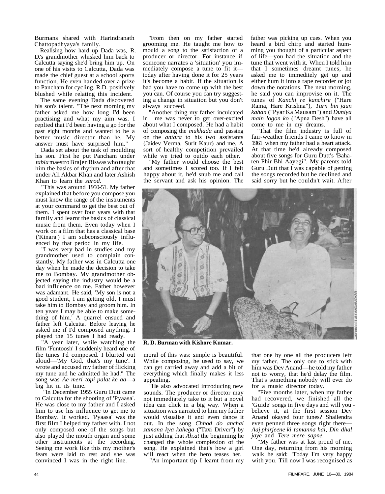Burmans shared with Harindranath Chattopadhyaya's family.

Realising how hard up Dada was, R. D.'s grandmother whisked him back to Calcutta saying she'd bring him up. On one of his visits to Calcutta, Dada was made the chief guest at a school sports function. He even handed over a prize to Pancham for cycling. R.D. positively blushed while relating this incident.

The same evening Dada discovered his son's talent. "The next morning my father asked me how long I'd been practising and what my aim was. I replied that I'd been having a go for the past eight months and wanted to be a better music director than he. My answer must have surprised him."

Dada set about the task of moulding his son. First he put Pancham under *tabla* maestro Brajen Biswas who taught him the basics of rhythm and after that under Ali Akbar Khan and later Ashish Khan to learn the *sarod.*

"This was around 1950-51. My father explained that before you compose you must know the range of the instruments at your command to get the best out of them. I spent over four years with that family and learnt the basics of classical music from them. Even today when I work on a film that has a classical base ('Kinara') I am subconsciously influenced by that period in my life.

"I was very bad in studies and my grandmother used to complain constantly. My father was in Calcutta one day when he made the decision to take me to Bombay. My grandmother objected saying the industry would be a bad influence on me. Father however was adamant. He said, 'My son is not a good student, I am getting old, I must take him to Bombay and groom him. In ten years I may be able to make something of him.' A quarrel ensued and father left Calcutta. Before leaving he asked me if I'd composed anything. I played the 15 tunes I had ready.

"A year later, while watching the film 'Funtoosh' I suddenly heard one of the tunes I'd composed. I blurted out aloud—'My God, that's my tune'. I wrote and accused my father of flicking my tune and he admitted he had." The song was *Ae meri topi palat ke aa*—a big hit in its time.

"In December 1955 Guru Dutt came to Calcutta for the shooting of 'Pyaasa'. He was close to my father and I asked him to use his influence to get me to Bombay. It worked. 'Pyaasa' was the first film I helped my father with. I not only composed one of the songs but also played the mouth organ and some other instruments at the recording. Seeing me work like this my mother's fears were laid to rest and she was convinced I was in the right line.

"From then on my father started grooming me. He taught me how to mould a song to the satisfaction of a producer or director. For instance if someone narrates a 'situation' you immediately compose a tune to fit it today after having done it for 25 years it's become a habit. If the situation is bad you have to come up with the best you can. Of course you can try suggesting a change in situation but you don't always succeed.

"Another thing my father inculcated in me was never to get over-excited about what I composed. He had a habit of composing the *mukhada* and passing on the *antara* to his two assistants (Jaidev Verma, Surit Kaur) and me. A sort of healthy competition prevailed while we tried to outdo each other.

"My father would choose the best and sometimes I scored too. If I felt happy about it, he'd snub me and call the servant and ask his opinion. The father was picking up cues. When you heard a bird chirp and started humming you thought of a particular aspect of life—you had the situation and the tune that went with it. When I told him that I sometimes dreamt tunes, he asked me to immeditely get up and either hum it into a tape recorder or jot down the notations. The next morning, he said you can improvise on it. The tunes of *Kanchi re kanchire* ("Hare Rama, Hare Krishna"), *Turn bin jaun kahan* ("Pyar Ka Mausam") and *Duniya main logon ko* ("Apna Desh") have all come to me in my dreams.

"That the film industry is full of fair-weather friends I came to know in 1961 when my father had a heart attack. At that time he'd already composed about five songs for Guru Dutt's 'Baharen Phir Bhi Aayegi". My parents told Guru Dutt that I was capable of getting the songs recorded but he declined and said sorry but he couldn't wait. After



**R. D. Burman with Kishore Kumar.**

moral of this was: simple is beautiful. While composing, he used to say, we can get carried away and add a bit of everything which finally makes it less appealing.

"He also advocated introducing new sounds. The producer or director may not immediately take to it but a novel idea can click in a big way. When a situation was narrated to him my father would visualise it and even dance it out. In the song *Chhod do anchal zamana kya kahega* ("Taxi Driver") by just adding that *Ah.at* the beginning he changed the whole complexion of the song. He explained that's how a girl will react when the hero teases her.

"An important tip I learnt from my

that one by one all the producers left my father. The only one to stick with him was Dev Anand—he told my father not to worry, that he'd delay the film. That's something nobody will ever do for a music director today.

"Five months later, when my father had recovered, we finished all the 'Guide' songs in five days and will you believe it, at the first session Dev Anand okayed four tunes? Shailendra even penned three songs right there— *Aaj phirjeene ki tamanna hai, Din dhal jaye* and *Tere mere sapne.*

"My father was at last proud of me. One day, returning from his morning walk he said: 'Today I'm very happy with you. Till now I was recognised as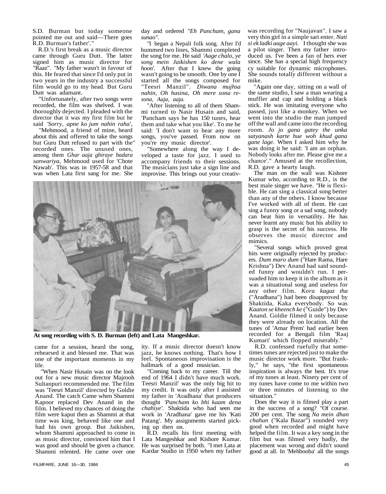S.D. Burman but today someone pointed me out and said—There goes R.D. Burman's father'."

R.D.'s first break as a music director came through Guru Dutt. The latter signed him as music director for "Raaz". "My father wasn't in favour of this. He feared that since I'd only put in two years in the industry a successful film would go to my head. But Guru Dutt was adamant.

"Unfortunately, after two songs were recorded, the film was shelved. I was thoroughly dejected. I pleaded with the director that it was my first film but he said *'Sorry, apne ko jum nahin raha',*

"Mehmood, a friend of mine, heard about this and offered to take the songs but Guru Dutt refused to part with the" recorded ones. The unused ones, among them *Ghar aaja ghiraye badara sanwariya,* Mehmood used for 'Chote Nawab'. This was in 1957-58 and that was when Lata first sang for me. She

day and ordered *"Eh Pancham, gana sunao".*

*"*I began a Nepali folk song. After I'd hummed two lines, Shammi completed the song for me. He said *'Aage chalo, ye song mein Jaikishen ko dene wala hoon'*. After that I knew the going wasn't going to be smooth. One by one I started all the songs composed for "Teesri Manzil". *Diwana mujhsa nahin, Oh hasina, Oh mere sona resona, Aaja, aaja.*

"After listening to all of them Shammi turned to Nasir Husain and said, 'Pancham says he has 150 tunes, hear them and take what you like'. To me he said: 'I don't want to hear any more songs, you've passed. From now on you're my music director'.

"Somewhere along the way I developed a taste for jazz. I used to accompany friends to their sessions. The musicians just take a sign line and improvise. This brings out your creativ-



**At song recording with S. D. Burman (left) and Lata Mangeshkar.**

came for a session, heard the song, rehearsed it and blessed me. That was one of the important moments in my life.

"When Nasir Husain was on the look out for a new music director Majrooh Sultanpuri recommended me. The film was 'Teesri Manzil' directed by Goldie Anand. The catch Came when Shammi Kapoor replaced Dev Anand in the film. I believed my chances of doing the film were kaput then as Shammi at that time was king, behaved like one and had his own group. But Jaikishen, whom Shammi approached to come in as music director, convinced him that I was good and should be given a chance. Shammi relented. He came over one

ity. If a music director doesn't know jazz, he knows nothing. That's how I feel. Spontaneous improvisation is the hallmark of a good musician.

"Coming back to my career. Till the end of 1964 I didn't have much work. Teesri Manzil' was the only big hit to my credit. It was only after I assisted my father in 'Aradhana' that producers thought *'Pancham ko bhi kaam dena chahiye'.* Shaktida who had seen me work in 'Aradhana' gave me his 'Kati Patang'. My assignments started picking up then on.

R.D. recalls his first meeting with Lata Mangeshkar and Kishore Kumar. He was surprised by both. "I met Lata at Kardar Studio in 1950 when my father was recording for "Naujavan". I saw a very thin girl in a simple sari enter. *Nati si ek ladki aage aayi.* I thought she was a pilot singer. Then my father introduced us. I've been a fan of hers ever since. She has a special high frequency cy suitable for dynamic microphones. She sounds totally different without a mike.

"Again one day, sitting on a wall of the same studio, I saw a man wearing a muffler and cap and holding a black stick. He was imitating everyone who passed, just like a monkey. When we went into the studio the man jumped off the wall and came into the recording room. *Jo jo gana gatey the unka satyanash karte hue woh khud gana gane lage.* When I asked him why he was doing it he said: 'I am an orphan. Nobody looks after me. Please give me a chance'." Amused at the recollection, R.D. gave a hearty laugh.

The man on the wall was Kishore Kumar who, according to R.D., is the best male singer we have. "He is flexible. He can sing a classical song better than any of the others. I know because I've worked with all of them. He can sing a funny song or a sad song, nobody can beat him in versatility. He has never learnt any music but his ability to grasp is the secret of his success. He observes the music director and mimics.

"Several songs which proved great hits were originally rejected by producers. *Dum maro dum* ("Hare Rama, Hare Krishna") Dev Anand had said sounded funny and wouldn't run. I persuaded him to keep it in the album as it was a situational song and useless for any other film. *Kora kagaz tha* ("Aradhana") had been disapproved by Shaktida, Kaka everybody. So was *Kaaton se kheench ke* ("Guide") by Dev Anand. Goldie filmed it only because they were already on location. All the tunes of 'Amar Prem' had earlier been recorded for a Bengali film 'Raaj Kumari' which flopped miserably."

R.D. confessed ruefully that sometimes tunes are rejected just to make the music director work more. "But frankly," he says, "the first spontaneous inspiration is always the best. It's true of my tunes at least. Ninety per cent of my tunes have come to me within two or three minutes of listening to the situation."

Does the way it is filmed play a part in the success of a song? "Of course. 200 per cent. The song *Na mein dhan chahun* ("Kala Bazar") sounded very good when recorded and might have helped the film. It was a key song in the film but was filmed very badly, the placement was wrong and didn't sound good at all. In 'Mehbooba' all the songs